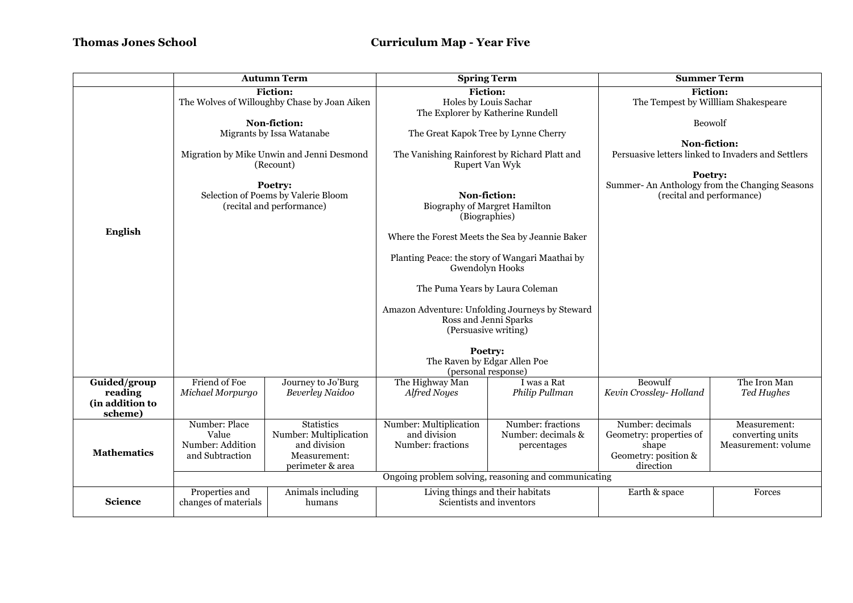## **Thomas Jones School Curriculum Map - Year Five**

|                                                       | <b>Autumn Term</b>                                                          |                                                                                                 | <b>Spring Term</b>                                                                               |                                                        | <b>Summer Term</b>                                                                                                                          |                                                         |  |
|-------------------------------------------------------|-----------------------------------------------------------------------------|-------------------------------------------------------------------------------------------------|--------------------------------------------------------------------------------------------------|--------------------------------------------------------|---------------------------------------------------------------------------------------------------------------------------------------------|---------------------------------------------------------|--|
|                                                       |                                                                             | <b>Fiction:</b><br>The Wolves of Willoughby Chase by Joan Aiken                                 | <b>Fiction:</b><br>Holes by Louis Sachar<br>The Explorer by Katherine Rundell                    |                                                        | <b>Fiction:</b><br>The Tempest by Willliam Shakespeare                                                                                      |                                                         |  |
|                                                       |                                                                             | Non-fiction:<br>Migrants by Issa Watanabe                                                       |                                                                                                  | The Great Kapok Tree by Lynne Cherry                   |                                                                                                                                             | Beowolf<br>Non-fiction:                                 |  |
|                                                       | Migration by Mike Unwin and Jenni Desmond<br>(Recount)                      |                                                                                                 | The Vanishing Rainforest by Richard Platt and<br>Rupert Van Wyk                                  |                                                        | Persuasive letters linked to Invaders and Settlers<br>Poetry:<br>Summer-An Anthology from the Changing Seasons<br>(recital and performance) |                                                         |  |
|                                                       | Poetry:<br>Selection of Poems by Valerie Bloom<br>(recital and performance) |                                                                                                 | Non-fiction:<br>Biography of Margret Hamilton<br>(Biographies)                                   |                                                        |                                                                                                                                             |                                                         |  |
| <b>English</b>                                        |                                                                             |                                                                                                 | Where the Forest Meets the Sea by Jeannie Baker                                                  |                                                        |                                                                                                                                             |                                                         |  |
|                                                       |                                                                             |                                                                                                 | Planting Peace: the story of Wangari Maathai by<br>Gwendolyn Hooks                               |                                                        |                                                                                                                                             |                                                         |  |
|                                                       |                                                                             |                                                                                                 | The Puma Years by Laura Coleman                                                                  |                                                        |                                                                                                                                             |                                                         |  |
|                                                       |                                                                             |                                                                                                 | Amazon Adventure: Unfolding Journeys by Steward<br>Ross and Jenni Sparks<br>(Persuasive writing) |                                                        |                                                                                                                                             |                                                         |  |
|                                                       |                                                                             |                                                                                                 | Poetry:<br>The Raven by Edgar Allen Poe<br>(personal response)                                   |                                                        |                                                                                                                                             |                                                         |  |
| Guided/group<br>reading<br>(in addition to<br>scheme) | Friend of Foe<br>Michael Morpurgo                                           | Journey to Jo'Burg<br><b>Beverley Naidoo</b>                                                    | The Highway Man<br><b>Alfred Noyes</b>                                                           | I was a Rat<br>Philip Pullman                          | Beowulf<br>Kevin Crossley-Holland                                                                                                           | The Iron Man<br>Ted Hughes                              |  |
| <b>Mathematics</b>                                    | Number: Place<br>Value<br>Number: Addition<br>and Subtraction               | <b>Statistics</b><br>Number: Multiplication<br>and division<br>Measurement:<br>perimeter & area | Number: Multiplication<br>and division<br>Number: fractions                                      | Number: fractions<br>Number: decimals &<br>percentages | Number: decimals<br>Geometry: properties of<br>shape<br>Geometry: position &<br>direction                                                   | Measurement:<br>converting units<br>Measurement: volume |  |
|                                                       | Ongoing problem solving, reasoning and communicating                        |                                                                                                 |                                                                                                  |                                                        |                                                                                                                                             |                                                         |  |
| <b>Science</b>                                        | Properties and<br>changes of materials                                      | Animals including<br>humans                                                                     | Living things and their habitats<br>Scientists and inventors                                     |                                                        | Earth & space                                                                                                                               | Forces                                                  |  |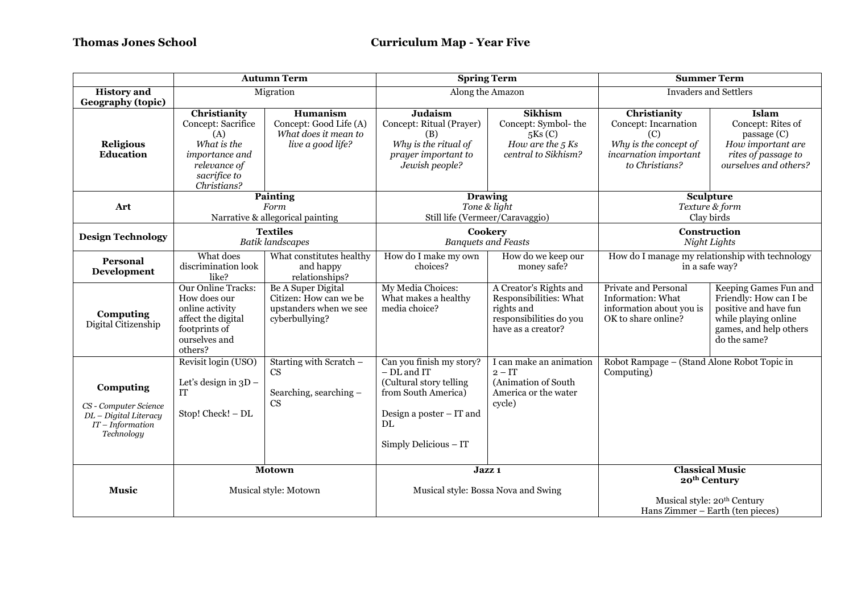|                                                                                                 | <b>Autumn Term</b>                                                                                                              |                                                                                          | <b>Spring Term</b>                                                                                                                                     |                                                                                                                 | <b>Summer Term</b>                                                                                                                |                                                                                                                                            |
|-------------------------------------------------------------------------------------------------|---------------------------------------------------------------------------------------------------------------------------------|------------------------------------------------------------------------------------------|--------------------------------------------------------------------------------------------------------------------------------------------------------|-----------------------------------------------------------------------------------------------------------------|-----------------------------------------------------------------------------------------------------------------------------------|--------------------------------------------------------------------------------------------------------------------------------------------|
| <b>History</b> and<br><b>Geography (topic)</b>                                                  | Migration                                                                                                                       |                                                                                          | Along the Amazon                                                                                                                                       |                                                                                                                 | <b>Invaders and Settlers</b>                                                                                                      |                                                                                                                                            |
| <b>Religious</b><br><b>Education</b>                                                            | Christianity<br>Concept: Sacrifice<br>(A)<br>What is the<br>importance and<br>relevance of<br>sacrifice to<br>Christians?       | Humanism<br>Concept: Good Life (A)<br>What does it mean to<br>live a good life?          | <b>Judaism</b><br>Concept: Ritual (Prayer)<br>(B)<br>Why is the ritual of<br>prayer important to<br>Jewish people?                                     | <b>Sikhism</b><br>Concept: Symbol-the<br>5Ks(C)<br>How are the $5$ Ks<br>central to Sikhism?                    | Christianity<br>Concept: Incarnation<br>(C)<br>Why is the concept of<br>incarnation important<br>to Christians?                   | Islam<br>Concept: Rites of<br>passage (C)<br>How important are<br>rites of passage to<br>ourselves and others?                             |
| Art                                                                                             | <b>Painting</b><br>Form<br>Narrative & allegorical painting                                                                     |                                                                                          | <b>Drawing</b><br>Tone & light<br>Still life (Vermeer/Caravaggio)                                                                                      |                                                                                                                 | Sculpture<br>Texture & form<br>Clay birds                                                                                         |                                                                                                                                            |
| <b>Design Technology</b>                                                                        | <b>Textiles</b><br><b>Batik landscapes</b>                                                                                      |                                                                                          | Cookery<br><b>Banquets and Feasts</b>                                                                                                                  |                                                                                                                 | Construction<br>Night Lights                                                                                                      |                                                                                                                                            |
| Personal<br><b>Development</b>                                                                  | What does<br>discrimination look<br>like?                                                                                       | What constitutes healthy<br>and happy<br>relationships?                                  | How do I make my own<br>choices?                                                                                                                       | How do we keep our<br>money safe?                                                                               | How do I manage my relationship with technology<br>in a safe way?                                                                 |                                                                                                                                            |
| Computing<br>Digital Citizenship                                                                | <b>Our Online Tracks:</b><br>How does our<br>online activity<br>affect the digital<br>footprints of<br>ourselves and<br>others? | Be A Super Digital<br>Citizen: How can we be<br>upstanders when we see<br>cyberbullying? | My Media Choices:<br>What makes a healthy<br>media choice?                                                                                             | A Creator's Rights and<br>Responsibilities: What<br>rights and<br>responsibilities do you<br>have as a creator? | Private and Personal<br>Information: What<br>information about you is<br>OK to share online?                                      | Keeping Games Fun and<br>Friendly: How can I be<br>positive and have fun<br>while playing online<br>games, and help others<br>do the same? |
| Computing<br>CS - Computer Science<br>DL - Digital Literacy<br>$IT$ – Information<br>Technology | Revisit login (USO)<br>Let's design in $3D -$<br><b>IT</b><br>Stop! Check! - DL                                                 | Starting with Scratch -<br>CS<br>Searching, searching -<br>CS                            | Can you finish my story?<br>- DL and IT<br>(Cultural story telling<br>from South America)<br>Design a poster $-$ IT and<br>DL<br>Simply Delicious - IT | I can make an animation<br>$2 - IT$<br>(Animation of South<br>America or the water<br>cycle)                    | Robot Rampage - (Stand Alone Robot Topic in<br>Computing)                                                                         |                                                                                                                                            |
| <b>Music</b>                                                                                    | <b>Motown</b><br>Musical style: Motown                                                                                          |                                                                                          | Jazz 1<br>Musical style: Bossa Nova and Swing                                                                                                          |                                                                                                                 | <b>Classical Music</b><br>20 <sup>th</sup> Century<br>Musical style: 20 <sup>th</sup> Century<br>Hans Zimmer - Earth (ten pieces) |                                                                                                                                            |